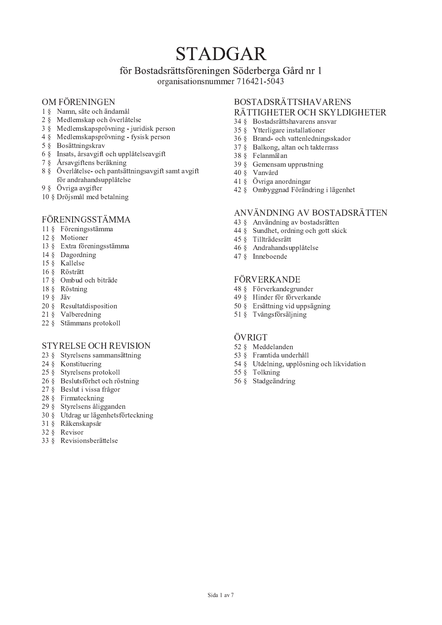# **STADGAR**

# för Bostadsrättsföreningen Söderberga Gård nr 1

organisationsnummer 716421-5043

# OM FÖRENINGEN

- 1 § Namn, säte och ändamål
- 2 § Medlemskap och överlåtelse
- 3 § Medlemskapsprövning juridisk person
- 4 § Medlemskapsprövning fysisk person
- 5 § Bosättningskrav
- 6 § Insats, årsavgift och upplåtelseavgift
- 7 § Årsavgiftens beräkning
- 8 § Överlåtelse- och pantsättningsavgift samt avgift för andrahandsupplåtelse
- 9 § Övriga avgifter
- 10 § Dröjsmål med betalning

# FÖRENINGSSTÄMMA

- 11 § Föreningsstämma
- 12 & Motioner
- 13 § Extra föreningsstämma
- 14 § Dagordning
- 15 § Kallelse
- 16 § Rösträtt
- 17 § Ombud och biträde
- 18 § Röstning
- $19 \S$  Jäv
- 20 § Resultatdisposition
- 21 § Valberedning
- 22 § Stämmans protokoll

# **STYRELSE OCH REVISION**

- 23 § Styrelsens sammansättning
- 24 & Konstituering
- 25 § Styrelsens protokoll
- 26 § Beslutsförhet och röstning
- 27 § Beslut i vissa frågor
- 28 § Firmateckning
- 29 § Styrelsens åligganden
- 30 § Utdrag ur lägenhetsförteckning
- 31 § Räkenskapsår
- 32 & Revisor
- 33 § Revisionsberättelse

#### **BOSTADSRÄTTSHAVARENS** RÄTTIGHETER OCH SKYLDIGHETER

- 34 § Bostadsrättshavarens ansvar
- 35 § Ytterligare installationer
- 36 § Brand- och vattenledningsskador
- 37 § Balkong, altan och takterrass
- 38 § Felanmälan
- 39 § Gemensam upprustning
- 40 § Vanvård
- 41 § Övriga anordningar
- 42 § Ombyggnad Förändring i lägenhet

## ANVÄNDNING AV BOSTADSRÄTTEN

- 43 § Användning av bostadsrätten
- 44 § Sundhet, ordning och gott skick
- 45 § Tillträdesrätt
- 46 § Andrahandsupplåtelse
- 47 § Inneboende

# FÖRVERKANDE

- 48 § Förverkandegrunder
- 49 § Hinder för förverkande
- 50 § Ersättning vid uppsägning
- 51 § Tvångsförsäljning

# ÖVRIGT

- 52 § Meddelanden
- 53 § Framtida underhåll
- 54 § Utdelning, upplösning och likvidation
- 55 § Tolkning
- 56 § Stadgeändring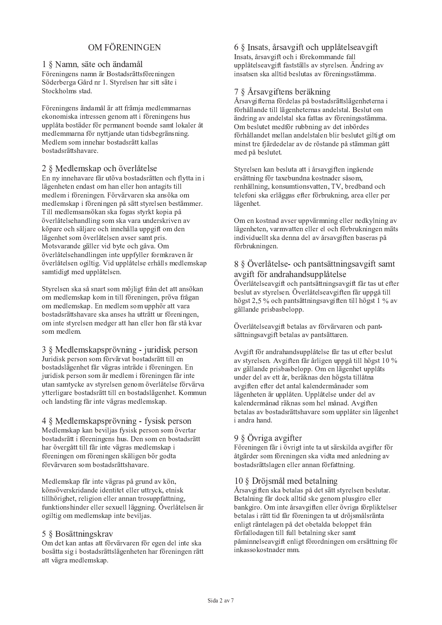# OM FÖR ENINGEN

#### 1 § Namn, säte och ändamål

Föreningens namn är Bostadsrättsföreningen Söderberga Gård nr 1. Styrelsen har sitt säte i Stockholms stad.

Föreningens ändamål är att främja medlemmarnas ekonomiska intressen genom att i föreningens hus upplåta bostäder för permanent boende samt lokaler åt medlemmarna för nyttjande utan tidsbegränsning. Medlem som innehar bostadsrätt kallas bostadsrättshavare.

## 2 § Medlemskap och överlåtelse

En ny innehavare får utöva bostadsrätten och flytta in i lägenheten endast om han eller hon antagits till medlem i föreningen. Förvärvaren ska ansöka om medlemskap i föreningen på sätt styrelsen bestämmer. Till medlemsansökan ska fogas styrkt kopia på överlåtelsehandling som ska vara underskriven av köpare och säljare och innehålla uppgift om den lägenhet som överlåtelsen avser samt pris. Motsvarande gäller vid byte och gåva. Om överlåtelsehandlingen inte uppfyller formkraven är överlåtelsen ogiltig. Vid upplåtelse erhålls medlemskap samtidigt med upplåtelsen.

Styrelsen ska så snart som möjligt från det att ansökan om medlemskap kom in till föreningen, pröva frågan om medlemskap. En medlem som upphör att vara bostadsrättshavare ska anses ha utträtt ur föreningen, om inte styrelsen medger att han eller hon får stå kvar som medlem.

3 § Medlemskapsprövning - juridisk person Juridisk person som förvärvat bostadsrätt till en bostadslägenhet får vägras inträde i föreningen. En juridisk person som är medlem i föreningen får inte utan samtycke av styrelsen genom överlåtelse förvärva ytterligare bostadsrätt till en bostadslägenhet. Kommun och landsting får inte vägras medlemskap.

4 § Medlemskapsprövning - fysisk person Medlemskap kan beviljas fysisk person som övertar bostadsrätt i föreningens hus. Den som en bostadsrätt har övergått till får inte vägras medlemskap i föreningen om föreningen skäligen bör godta förvärvaren som bostadsrättshavare.

Medlemskap får inte vägras på grund av kön, könsöverskridande identitet eller uttryck, etnisk tillhörighet, religion eller annan trosuppfattning, funktionshinder eller sexuell läggning. Överlåtelsen är ogiltig om medlemskap inte beviljas.

#### 5 § Bosättningskrav

Om det kan antas att förvärvaren för egen del inte ska bosätta sig i bostadsrättslägenheten har föreningen rätt att vägra medlemskap.

6 § Insats, årsavgift och upplåtelseavgift Insats, årsavgift och i förekommande fall upplåtelseavgift fastställs av styrelsen. Ändring av insatsen ska alltid beslutas av föreningsstämma.

# 7 § Årsavgiftens beräkning

Årsavgifterna fördelas på bostadsrättslägenheterna i förhållande till lägenheternas andelstal. Beslut om ändring av andelstal ska fattas av föreningsstämma. Om beslutet medför rubbning av det inbördes förhållandet mellan andelstalen blir beslutet giltigt om minst tre fjärdedelar av de röstande på stämman gått med på beslutet.

Styrelsen kan besluta att i årsavgiften ingående ersättning för taxebundna kostnader såsom, renhållning, konsumtionsvatten, TV, bredband och telefoni ska erläggas efter förbrukning, area eller per lägenhet.

Om en kostnad avser uppvärmning eller nedkylning av lägenheten, varmvatten eller el och förbrukningen mäts individuellt ska denna del av årsavgiften baseras på förbrukningen.

## 8 § Överlåtelse- och pantsättningsavgift samt avgift för andrahandsupplåtelse

Överlåtelseavgift och pantsättningsavgift får tas ut efter beslut av styrelsen. Överlåtelseavgiften får uppgå till högst 2,5 % och pantsättningsavgiften till högst 1 % av gällande prisbasbelopp.

Överlåtelseavgift betalas av förvärvaren och pantsättningsavgift betalas av pantsättaren.

Avgift för andrahandsupplåtelse får tas ut efter beslut av styrelsen. Avgiften får årligen uppgå till högst  $10\%$ av gällande prisbasbelopp. Om en lägenhet upplåts under del av ett år, beräknas den högsta tillåtna avgiften efter det antal kalendermånader som lägenheten är upplåten. Upplåtelse under del av kalendermånad räknas som hel månad. Avgiften betalas av bostadsrättshavare som upplåter sin lägenhet i andra hand.

# 9 § Övriga avgifter

Föreningen får i övrigt inte ta ut särskilda avgifter för åtgärder som föreningen ska vidta med anledning av bostadsrättslagen eller annan författning.

# 10 § Dröjsmål med betalning

Årsavgiften ska betalas på det sätt styrelsen beslutar. Betalning får dock alltid ske genom plusgiro eller bankgiro. Om inte årsavgiften eller övriga förpliktelser betalas i rätt tid får föreningen ta ut dröjsmålsränta enligt räntelagen på det obetalda beloppet från förfallodagen till full betalning sker samt påminnelseavgift enligt förordningen om ersättning för inkassokostnader mm.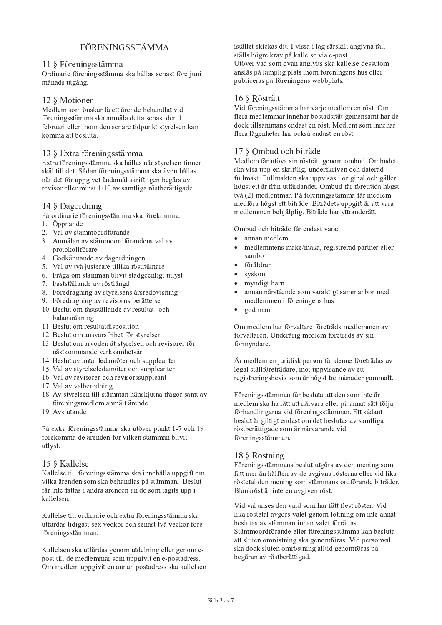# **FÖRENINGSSTÄMMA**

## 11 § Föreningsstämma

Ordinarie föreningsstämma ska hållas senast före juni månads utgång.

# 12 § Motioner

Medlem som önskar få ett ärende behandlat vid föreningsstämma ska anmäla detta senast den 1 februari eller inom den senare tidpunkt styrelsen kan komma att besluta.

## 13 § Extra föreningsstämma

Extra föreningsstämma ska hållas när styrelsen finner skäl till det. Sådan föreningsstämma ska även hållas när det för uppgivet ändamål skriftligen begärs av revisor eller minst 1/10 av samtliga röstberättigade.

# 14 § Dagordning

- På ordinarie föreningsstämma ska förekomma:
- 1. Öppnande
- 2. Val av stämmoordförande
- 3. Anmälan av stämmoordförandens val av protokollförare
- 4. Godkännande av dagordningen
- 5. Val av två justerare tillika rösträknare
- 6. Fråga om stämman blivit stadgeenligt utlyst
- 7. Fastställande av röstlängd
- 8. Föredragning av styrelsens årsredovisning
- 9. Föredragning av revisorns berättelse
- 10. Beslut om fastställande av resultat- och balansräkning
- 11. Beslut om resultatdisposition
- 12. Beslut om ansvarsfrihet för styrelsen
- 13. Beslut om arvoden åt styrelsen och revisorer för nästkommande verksamhetsår
- 14. Beslut av antal ledamöter och suppleanter
- 15. Val av styrelseledamöter och suppleanter
- 16. Val av revisorer och revisorssuppleant
- 17. Val av valberedning
- 18. Av styrelsen till stämman hänskjutna frågor samt av föreningsmedlem anmält ärende
- 19. Avslutande

På extra föreningsstämma ska utöver punkt 1-7 och 19 förekomma de ärenden för vilken stämman blivit utlyst.

# 15 § Kallelse

Kallelse till föreningsstämma ska innehålla uppgift om vilka ärenden som ska behandlas på stämman. Beslut får inte fattas i andra ärenden än de som tagits upp i kallelsen.

Kallelse till ordinarie och extra föreningsstämma ska utfärdas tidigast sex veckor och senast två veckor före föreningsstämman.

Kallelsen ska utfärdas genom utdelning eller genom epost till de medlemmar som uppgivit en e-postadress. Om medlem uppgivit en annan postadress ska kallelsen istället skickas dit. I vissa i lag särskilt angivna fall ställs högre krav på kallelse via e-post. Utöver vad som ovan angivits ska kallelse dessutom anslås på lämplig plats inom föreningens hus eller publiceras på föreningens webbplats.

# 16 § Rösträtt

Vid föreningsstämma har varje medlem en röst. Om flera medlemmar innehar bostadsrätt gemensamt har de dock tillsammans endast en röst. Medlem som innehar flera lägenheter har också endast en röst.

# 17 8 Ombud och biträde

Medlem får utöva sin rösträtt genom ombud. Ombudet ska visa upp en skriftlig, underskriven och daterad fullmakt. Fullmakten ska uppvisas i original och gäller högst ett år från utfärdandet. Ombud får företräda högst två (2) medlemmar. På föreningsstämma får medlem medföra högst ett biträde. Biträdets uppgift är att vara medlemmen behjälplig. Biträde har yttranderätt.

Ombud och biträde får endast vara:

- annan medlem
- medlemmens make/maka, registrerad partner eller sambo
- föräldrar
- svskon
- myndigt barn
- annan närstående som varaktigt sammanbor med medlemmen i föreningens hus
- god man

Om medlem har förvaltare företräds medlemmen av förvaltaren. Underårig medlem företräds av sin förmyndare.

Är medlem en juridisk person får denne företrädas av legal ställföreträdare, mot uppvisande av ett registreringsbevis som är högst tre månader gammalt.

Föreningsstämman får besluta att den som inte är medlem ska ha rätt att närvara eller på annat sätt följa förhandlingarna vid föreningsstämman. Ett sådant beslut är giltigt endast om det beslutas av samtliga röstberättigade som är närvarande vid föreningsstämman.

# 18 § Röstning

Föreningsstämmans beslut utgörs av den mening som fått mer än hälften av de avgivna rösterna eller vid lika röstetal den mening som stämmans ordförande biträder. Blankröst är inte en avgiven röst.

Vid val anses den vald som har fått flest röster. Vid lika röstetal avgörs valet genom lottning om inte annat beslutas av stämman innan valet förrättas. Stämmoordförande eller föreningsstämma kan besluta att sluten omröstning ska genomföras. Vid personval ska dock sluten omröstning alltid genomföras på begäran av röstberättigad.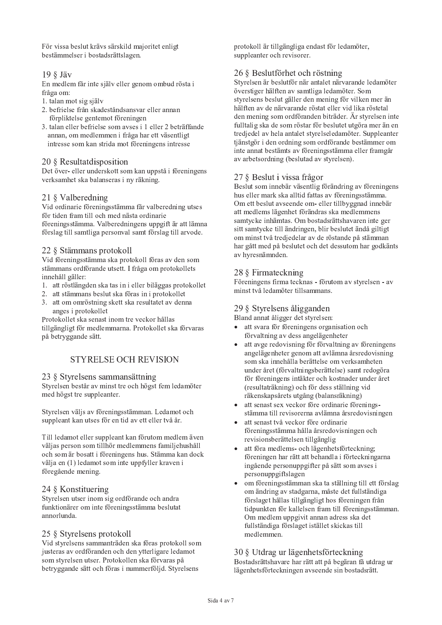För vissa beslut krävs särskild majoritet enligt bestämmelser i bostadsrättslagen.

# 19 § Jäv

En medlem får inte själv eller genom ombud rösta i fråga om:

- 1. talan mot sig själv
- 2. befrielse från skadeståndsansvar eller annan förpliktelse gentemot föreningen
- 3. talan eller befrielse som avses i 1 eller 2 beträffande annan, om medlemmen i fråga har ett väsentligt intresse som kan strida mot föreningens intresse

# 20 & Resultatdisposition

Det över- eller underskott som kan uppstå i föreningens verksamhet ska balanseras i ny räkning.

# 21 § Valberedning

Vid ordinarie föreningsstämma får valberedning utses för tiden fram till och med nästa ordinarie föreningsstämma. Valberedningens uppgift är att lämna förslag till samtliga personval samt förslag till arvode.

# 22 § Stämmans protokoll

Vid föreningsstämma ska protokoll föras av den som stämmans ordförande utsett. I fråga om protokollets innehåll gäller:

- 1. att röstlängden ska tas in i eller biläggas protokollet
- 2. att stämmans beslut ska föras in i protokollet
- 3. att om omröstning skett ska resultatet av denna anges i protokollet

Protokollet ska senast inom tre veckor hållas tillgängligt för medlemmarna. Protokollet ska förvaras på betryggande sätt.

# **STYRELSE OCH REVISION**

# 23 § Styrelsens sammansättning

Styrelsen består av minst tre och högst fem ledamöter med högst tre suppleanter.

Styrelsen väljs av föreningsstämman. Ledamot och suppleant kan utses för en tid av ett eller två år.

Till ledamot eller suppleant kan förutom medlem även väljas person som tillhör medlemmens familjehushåll och som är bosatt i föreningens hus. Stämma kan dock välja en (1) ledamot som inte uppfyller kraven i föregående mening.

# 24 § Konstituering

Styrelsen utser inom sig ordförande och andra funktionärer om inte föreningsstämma beslutat annorlunda.

# 25 § Styrelsens protokoll

Vid styrelsens sammanträden ska föras protokoll som justeras av ordföranden och den ytterligare ledamot som styrelsen utser. Protokollen ska förvaras på betryggande sätt och föras i nummerföljd. Styrelsens

protokoll är tillgängliga endast för ledamöter, suppleanter och revisorer.

# 26 § Beslutförhet och röstning

Styrelsen är beslutför när antalet närvarande ledamöter överstiger hälften av samtliga ledamöter. Som styrelsens beslut gäller den mening för vilken mer än hälften av de närvarande röstat eller vid lika röstetal den mening som ordföranden biträder. Är styrelsen inte fulltalig ska de som röstar för beslutet utgöra mer än en tredjedel av hela antalet styrelseledamöter. Suppleanter tjänstgör i den ordning som ordförande bestämmer om inte annat bestämts av föreningsstämma eller framgår av arbetsordning (beslutad av styrelsen).

# 27 § Beslut i vissa frågor

Beslut som innebär väsentlig förändring av föreningens hus eller mark ska alltid fattas av föreningsstämma. Om ett beslut avseende om- eller tillbyggnad innebär att medlems lägenhet förändras ska medlemmens samtycke inhämtas. Om bostadsrättshavaren inte ger sitt samtycke till ändringen, blir beslutet ändå giltigt om minst två tredjedelar av de röstande på stämman har gått med på beslutet och det dessutom har godkänts av hyresnämnden.

# 28 § Firmateckning

Föreningens firma tecknas - förutom av styrelsen - av minst två ledamöter tillsammans.

# 29 § Styrelsens åligganden

Bland annat åligger det styrelsen:

- att svara för föreningens organisation och förvaltning av dess angelägenheter
- att avge redovisning för förvaltning av föreningens angelägenheter genom att avlämna årsredovisning som ska innehålla berättelse om verksamheten under året (förvaltningsberättelse) samt redogöra för föreningens intäkter och kostnader under året (resultaträkning) och för dess ställning vid räkenskapsårets utgång (balansräkning)
- att senast sex veckor före ordinarie förenings- $\blacksquare$ stämma till revisorerna avlämna årsredovisningen
- att senast två veckor före ordinarie föreningsstämma hålla årsredovisningen och revisionsberättelsen tillgänglig
- att föra medlems- och lägenhetsförteckning: föreningen har rätt att behandla i förteckningarna ingående personuppgifter på sätt som avses i personuppgiftslagen
- om föreningsstämman ska ta ställning till ett förslag om ändring av stadgarna, måste det fullständiga förslaget hållas tillgängligt hos föreningen från tidpunkten för kallelsen fram till föreningsstämman. Om medlem uppgivit annan adress ska det fullständiga förslaget istället skickas till medlemmen.

# 30 § Utdrag ur lägenhetsförteckning

Bostadsrättshavare har rätt att på begäran få utdrag ur lägenhetsförteckningen avseende sin bostadsrätt.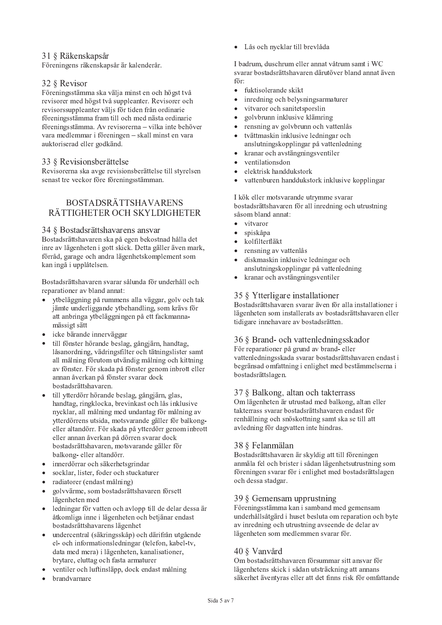# 31 8 Räkenskapsår

Föreningens räkenskapsår är kalenderår.

# 32 § Revisor

Föreningsstämma ska välja minst en och högst två revisorer med högst två suppleanter. Revisorer och revisorssuppleanter väljs för tiden från ordinarie föreningsstämma fram till och med nästa ordinarie föreningsstämma. Av revisorerna – vilka inte behöver vara medlemmar i föreningen – skall minst en vara auktoriserad eller godkänd.

## 33 § Revisionsberättelse

Revisorerna ska avge revisionsberättelse till styrelsen senast tre veckor före föreningsstämman.

# **BOSTADSRÄTTSHAVARENS** RÄTTIGHETER OCH SKYLDIGHETER

#### 34 § Bostadsrättshavarens ansvar

Bostadsrättshavaren ska på egen bekostnad hålla det inre av lägenheten i gott skick. Detta gäller även mark, förråd, garage och andra lägenhetskomplement som kan ingå i upplåtelsen.

Bostadsrättshavaren svarar sålunda för underhåll och reparationer av bland annat:

- ytbeläggning på rummens alla väggar, golv och tak jämte underliggande ytbehandling, som krävs för att anbringa ytbeläggningen på ett fackmannamässigt sätt
- icke bärande innerväggar
- · till fönster hörande beslag, gångjärn, handtag, låsanordning, vädringsfilter och tätningslister samt all målning förutom utvändig målning och kittning av fönster. För skada på fönster genom inbrott eller annan åverkan på fönster svarar dock bostadsrättshavaren.
- till ytterdörr hörande beslag, gångjärn, glas, handtag, ringklocka, brevinkast och lås inklusive nycklar, all målning med undantag för målning av ytterdörrens utsida, motsvarande gäller för balkongeller altandörr. För skada på ytterdörr genom inbrott eller annan åverkan på dörren svarar dock bostadsrättshavaren, motsvarande gäller för balkong- eller altandörr.
- innerdörrar och säkerhetsgrindar
- socklar, lister, foder och stuckaturer
- · radiatorer (endast målning)
- golvvärme, som bostadsrättshavaren försett lägenheten med
- ledningar för vatten och avlopp till de delar dessa är åtkomliga inne i lägenheten och betjänar endast bostadsrättshavarens lägenhet
- undercentral (säkringsskåp) och därifrån utgående el- och informationsledningar (telefon, kabel-tv, data med mera) i lägenheten, kanalisationer, brytare, eluttag och fasta armaturer
- ventiler och luftinsläpp, dock endast målning
- brandvarnare

· Lås och nycklar till brevlåda

I badrum, duschrum eller annat våtrum samt i WC svarar bostadsrättshavaren därutöver bland annat även för.

- fuktisolerande skikt  $\bullet$
- inredning och belysningsarmaturer  $\bullet$
- vitvaror och sanitetsporslin
- golvbrunn inklusive klämring  $\bullet$
- rensning av golvbrunn och vattenlås  $\bullet$
- tvättmaskin inklusive ledningar och anslutningskopplingar på vattenledning
- kranar och avstängningsventiler  $\bullet$
- ventilationsdon  $\bullet$
- elektrisk handdukstork  $\bullet$
- vattenburen handdukstork inklusive kopplingar

I kök eller motsvarande utrymme svarar bostadsrättshavaren för all inredning och utrustning såsom bland annat:

- vitvaror
- spiskåpa
- kolfilterfläkt
- rensning av vattenlås
- diskmaskin inklusive ledningar och anslutningskopplingar på vattenledning
- kranar och avstängningsventiler  $\bullet$

# 35 § Ytterligare installationer

Bostadsrättshavaren svarar även för alla installationer i lägenheten som installerats av bostadsrättshavaren eller tidigare innehavare av bostadsrätten.

# 36 § Brand- och vattenledningsskador

För reparationer på grund av brand- eller vattenledningsskada svarar bostadsrättshavaren endast i begränsad omfattning i enlighet med bestämmelserna i bostadsrättslagen.

# 37 § Balkong, altan och takterrass

Om lägenheten är utrustad med balkong, altan eller takterrass svarar bostadsrättshavaren endast för renhållning och snöskottning samt ska se till att avledning för dagvatten inte hindras.

#### 38 & Felanmälan

Bostadsrättshavaren är skyldig att till föreningen anmäla fel och brister i sådan lägenhetsutrustning som föreningen svarar för i enlighet med bostadsrättslagen och dessa stadgar.

#### 39 § Gemensam upprustning

Föreningsstämma kan i samband med gemensam underhållsåtgärd i huset besluta om reparation och byte av inredning och utrustning avseende de delar av lägenheten som medlemmen svarar för.

# 40 § Vanvård

Om bostadsrättshavaren försummar sitt ansvar för lägenhetens skick i sådan utsträckning att annans säkerhet äventyras eller att det finns risk för omfattande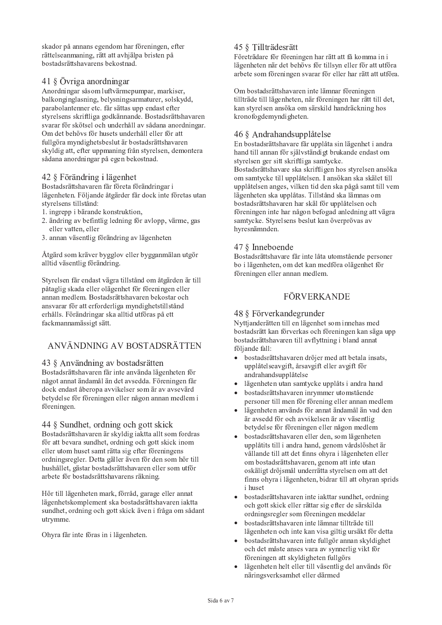skador på annans egendom har föreningen, efter rättelseanmaning, rätt att avhjälpa bristen på bostadsrättshavarens bekostnad.

# 41 § Övriga anordningar

Anordningar såsom luftvärmepumpar, markiser, balkonginglasning, belysningsarmaturer, solskydd, parabolantenner etc. får sättas upp endast efter styrelsens skriftliga godkännande. Bostadsrättshavaren svarar för skötsel och underhåll av sådana anordningar. Om det behövs för husets underhåll eller för att fullgöra myndighetsbeslut är bostadsrättshavaren skyldig att, efter uppmaning från styrelsen, demontera sådana anordningar på egen bekostnad.

# 42 § Förändring i lägenhet

Bostadsrättshavaren får företa förändringar i lägenheten. Följande åtgärder får dock inte företas utan styrelsens tillstånd:

- 1. ingrepp i bärande konstruktion,
- 2. ändring av befintlig ledning för avlopp, värme, gas eller vatten, eller
- 3. annan väsentlig förändring av lägenheten

Åtgärd som kräver bygglov eller bygganmälan utgör alltid väsentlig förändring.

Styrelsen får endast vägra tillstånd om åtgärden är till påtaglig skada eller olägenhet för föreningen eller annan medlem. Bostadsrättshavaren bekostar och ansvarar för att erforderliga myndighetstillstånd erhålls. Förändringar ska alltid utföras på ett fackmannamässigt sätt.

# ANVÄNDNING AV BOSTADSRÄTTEN

#### 43 § Användning av bostadsrätten

Bostadsrättshavaren får inte använda lägenheten för något annat ändamål än det avsedda. Föreningen får dock endast åberopa avvikelser som är av avsevärd betydelse för föreningen eller någon annan medlem i föreningen.

#### 44 § Sundhet, ordning och gott skick

Bostadsrättshavaren är skyldig jaktta allt som fordras för att bevara sundhet, ordning och gott skick inom eller utom huset samt rätta sig efter föreningens ordningsregler. Detta gäller även för den som hör till hushållet, gästar bostadsrättshavaren eller som utför arbete för bostadsrättshavarens räkning.

Hör till lägenheten mark, förråd, garage eller annat lägenhetskomplement ska bostadsrättshavaren jaktta sundhet, ordning och gott skick även i fråga om sådant utrymme.

Ohyra får inte föras in i lägenheten.

# 45 § Tillträdesrätt

Företrädare för föreningen har rätt att få komma in i lägenheten när det behövs för tillsyn eller för att utföra arbete som föreningen svarar för eller har rätt att utföra.

Om bostadsrättshavaren inte lämnar föreningen tillträde till lägenheten, när föreningen har rätt till det, kan styrelsen ansöka om särskild handräckning hos kronofogdemyndigheten.

# 46 § Andrahandsupplåtelse

En bostadsrättshavare får upplåta sin lägenhet i andra hand till annan för självständigt brukande endast om styrelsen ger sitt skriftliga samtycke. Bostadsrättshavare ska skriftligen hos styrelsen ansöka om samtycke till upplåtelsen. I ansökan ska skälet till upplåtelsen anges, vilken tid den ska pågå samt till vem lägenheten ska upplåtas. Tillstånd ska lämnas om bostadsrättshavaren har skäl för upplåtelsen och föreningen inte har någon befogad anledning att vägra samtycke. Styrelsens beslut kan överprövas av hyresnämnden.

# 47 § Inneboende

Bostadsrättshavare får inte låta utomstående personer bo i lägenheten, om det kan medföra olägenhet för föreningen eller annan medlem.

# **FÖRVERKANDE**

## 48 § Förverkandegrunder

Nyttjanderätten till en lägenhet som innehas med bostadsrätt kan förverkas och föreningen kan säga upp bostadsrättshavaren till avflyttning i bland annat följande fall:

- bostadsrättshavaren dröjer med att betala insats,  $\bullet$ upplåtelseavgift, årsavgift eller avgift för andrahandsupplåtelse
- lägenheten utan samtycke upplåts i andra hand
- bostadsrättshavaren inrymmer utomstående personer till men för förening eller annan medlem
- lägenheten används för annat ändamål än vad den är avsedd för och avvikelsen är av väsentlig betydelse för föreningen eller någon medlem
- bostadsrättshavaren eller den, som lägenheten upplåtits till i andra hand, genom vårdslöshet är vållande till att det finns ohvra i lägenheten eller om bostadsrättshavaren, genom att inte utan oskäligt dröjsmål underrätta styrelsen om att det finns ohyra i lägenheten, bidrar till att ohyran sprids *i* huset
- bostadsrättshavaren inte iakttar sundhet, ordning och gott skick eller rättar sig efter de särskilda ordningsregler som föreningen meddelar
- bostadsrättshavaren inte lämnar tillträde till lägenheten och inte kan visa giltig ursäkt för detta
- bostadsrättshavaren inte fullgör annan skyldighet och det måste anses vara av synnerlig vikt för föreningen att skyldigheten fullgörs
- lägenheten helt eller till väsentlig del används för näringsverksamhet eller därmed